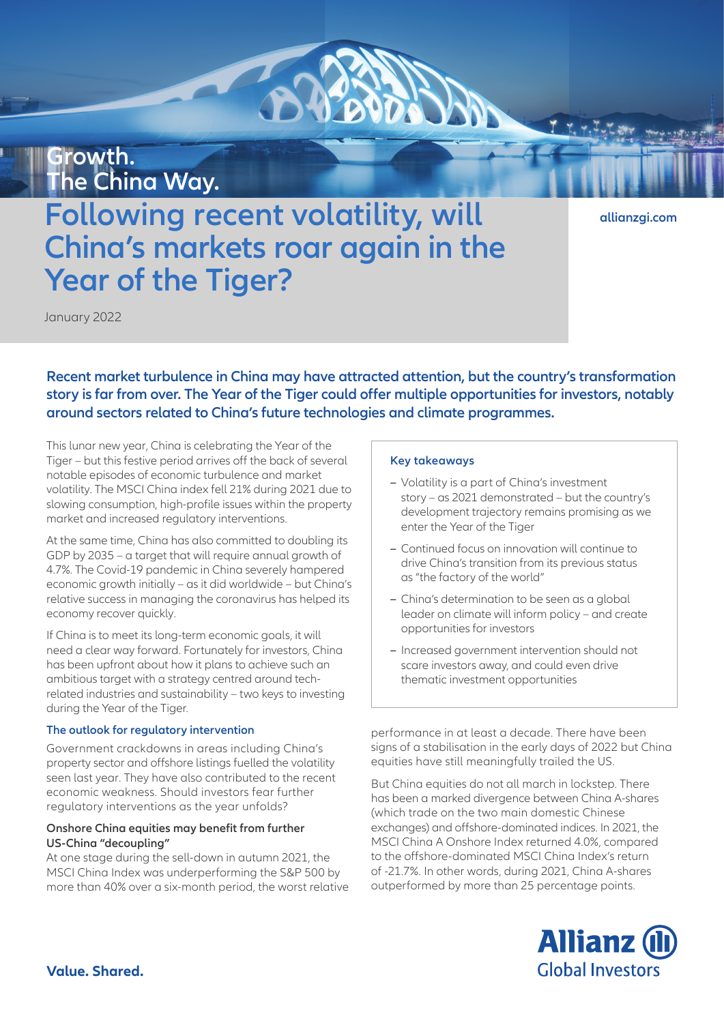## **Growth. The China Way.**

# **Following recent volatility, will China's markets roar again in the Year of the Tiger?**

**[allianzgi.com](https://www.allianzgi.com/)**

January 2022

**Recent market turbulence in China may have attracted attention, but the country's transformation story is far from over. The Year of the Tiger could offer multiple opportunities for investors, notably around sectors related to China's future technologies and climate programmes.**

This lunar new year, China is celebrating the Year of the Tiger – but this festive period arrives off the back of several notable episodes of economic turbulence and market volatility. The MSCI China index fell 21% during 2021 due to slowing consumption, high-profile issues within the property market and increased regulatory interventions.

At the same time, China has also committed to doubling its GDP by 2035 – a target that will require annual growth of 4.7%. The Covid-19 pandemic in China severely hampered economic growth initially – as it did worldwide – but China's relative success in managing the coronavirus has helped its economy recover quickly.

If China is to meet its long-term economic goals, it will need a clear way forward. Fortunately for investors, China has been upfront about how it plans to achieve such an ambitious target with a strategy centred around techrelated industries and sustainability – two keys to investing during the Year of the Tiger.

#### **The outlook for regulatory intervention**

Government crackdowns in areas including China's property sector and offshore listings fuelled the volatility seen last year. They have also contributed to the recent economic weakness. Should investors fear further regulatory interventions as the year unfolds?

#### **Onshore China equities may benefit from further US-China "decoupling"**

At one stage during the sell-down in autumn 2021, the MSCI China Index was underperforming the S&P 500 by more than 40% over a six-month period, the worst relative

#### **Key takeaways**

- **–** Volatility is a part of China's investment story – as 2021 demonstrated – but the country's development trajectory remains promising as we enter the Year of the Tiger
- **–** Continued focus on innovation will continue to drive China's transition from its previous status as "the factory of the world"
- **–** China's determination to be seen as a global leader on climate will inform policy – and create opportunities for investors
- **–** Increased government intervention should not scare investors away, and could even drive thematic investment opportunities

performance in at least a decade. There have been signs of a stabilisation in the early days of 2022 but China equities have still meaningfully trailed the US.

But China equities do not all march in lockstep. There has been a marked divergence between China A-shares (which trade on the two main domestic Chinese exchanges) and offshore-dominated indices. In 2021, the MSCI China A Onshore Index returned 4.0%, compared to the offshore-dominated MSCI China Index's return of -21.7%. In other words, during 2021, China A-shares outperformed by more than 25 percentage points.

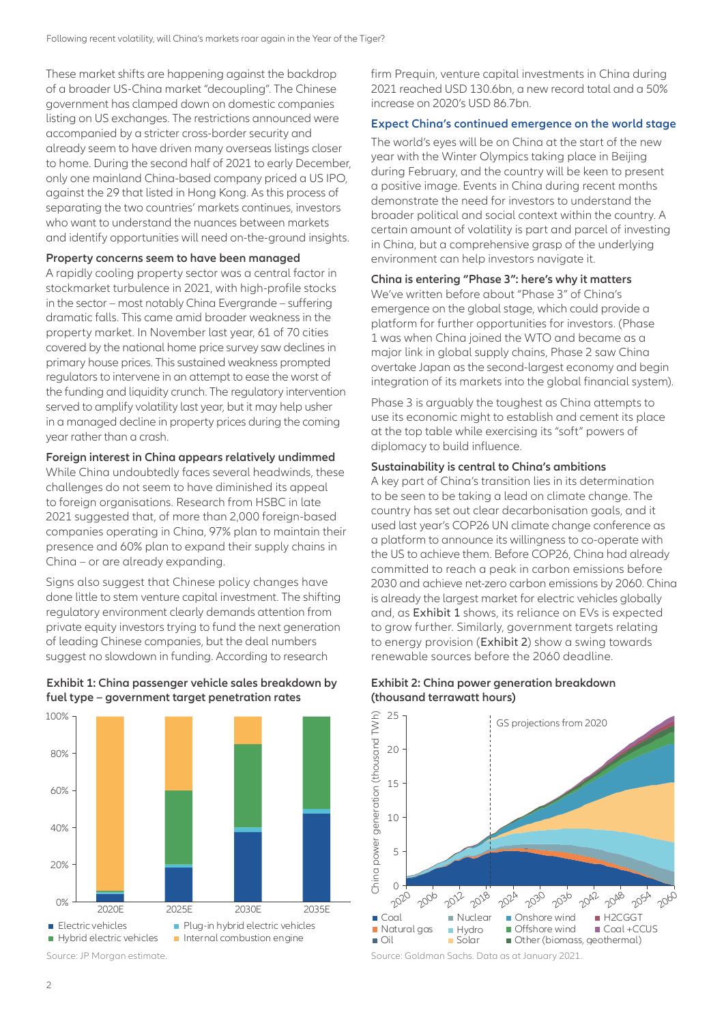These market shifts are happening against the backdrop of a broader US-China market "decoupling". The Chinese government has clamped down on domestic companies listing on US exchanges. The restrictions announced were accompanied by a stricter cross-border security and already seem to have driven many overseas listings closer to home. During the second half of 2021 to early December, only one mainland China-based company priced a US IPO, against the 29 that listed in Hong Kong. As this process of separating the two countries' markets continues, investors who want to understand the nuances between markets and identify opportunities will need on-the-ground insights.

#### **Property concerns seem to have been managed**

A rapidly cooling property sector was a central factor in stockmarket turbulence in 2021, with high-profile stocks in the sector – most notably China Evergrande – suffering dramatic falls. This came amid broader weakness in the property market. In November last year, 61 of 70 cities covered by the national home price survey saw declines in primary house prices. This sustained weakness prompted regulators to intervene in an attempt to ease the worst of the funding and liquidity crunch. The regulatory intervention served to amplify volatility last year, but it may help usher in a managed decline in property prices during the coming year rather than a crash.

#### **Foreign interest in China appears relatively undimmed**

While China undoubtedly faces several headwinds, these challenges do not seem to have diminished its appeal to foreign organisations. Research from HSBC in late 2021 suggested that, of more than 2,000 foreign-based companies operating in China, 97% plan to maintain their presence and 60% plan to expand their supply chains in China – or are already expanding.

Signs also suggest that Chinese policy changes have done little to stem venture capital investment. The shifting regulatory environment clearly demands attention from private equity investors trying to fund the next generation of leading Chinese companies, but the deal numbers suggest no slowdown in funding. According to research

#### **Exhibit 1: China passenger vehicle sales breakdown by fuel type – government target penetration rates**



Source: JP Morgan estimate.

firm Prequin, venture capital investments in China during 2021 reached USD 130.6bn, a new record total and a 50% increase on 2020's USD 86.7bn.

#### **Expect China's continued emergence on the world stage**

The world's eyes will be on China at the start of the new year with the Winter Olympics taking place in Beijing during February, and the country will be keen to present a positive image. Events in China during recent months demonstrate the need for investors to understand the broader political and social context within the country. A certain amount of volatility is part and parcel of investing in China, but a comprehensive grasp of the underlying environment can help investors navigate it.

#### **China is entering "Phase 3": here's why it matters**

We've written before about "Phase 3" of China's emergence on the global stage, which could provide a platform for further opportunities for investors. (Phase 1 was when China joined the WTO and became as a major link in global supply chains, Phase 2 saw China overtake Japan as the second-largest economy and begin integration of its markets into the global financial system).

Phase 3 is arguably the toughest as China attempts to use its economic might to establish and cement its place at the top table while exercising its "soft" powers of diplomacy to build influence.

#### **Sustainability is central to China's ambitions**

A key part of China's transition lies in its determination to be seen to be taking a lead on climate change. The country has set out clear decarbonisation goals, and it used last year's COP26 UN climate change conference as a platform to announce its willingness to co-operate with the US to achieve them. Before COP26, China had already committed to reach a peak in carbon emissions before 2030 and achieve net-zero carbon emissions by 2060. China is already the largest market for electric vehicles globally and, as Exhibit 1 shows, its reliance on EVs is expected to grow further. Similarly, government targets relating to energy provision (Exhibit 2) show a swing towards renewable sources before the 2060 deadline.

### **Exhibit 2: China power generation breakdown (thousand terrawatt hours)**



Source: Goldman Sachs. Data as at January 2021.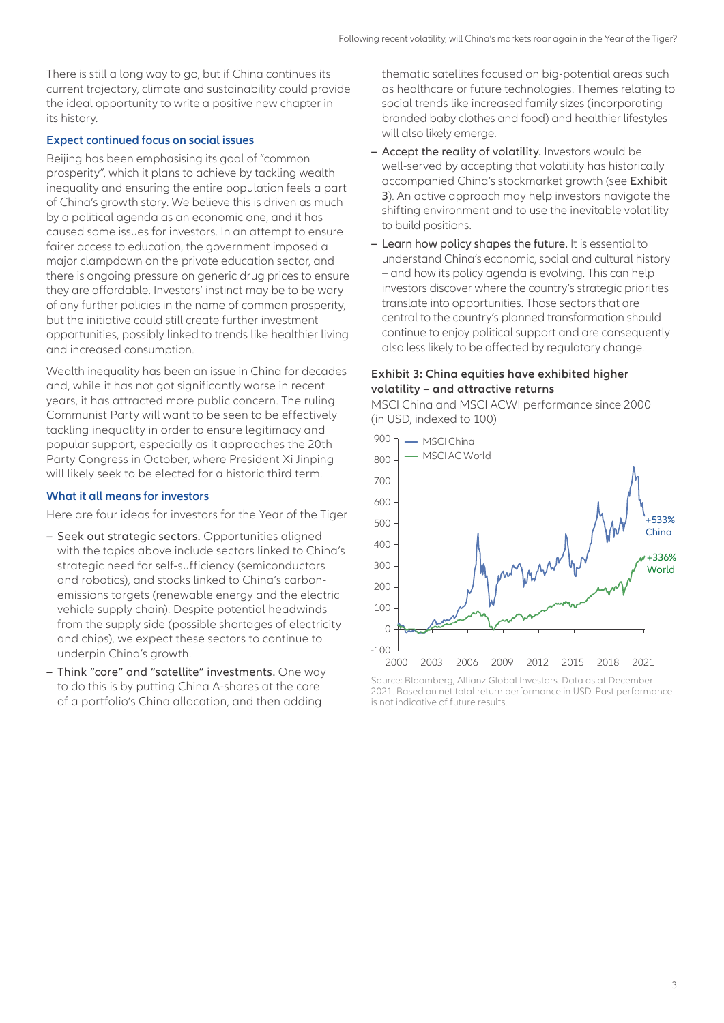There is still a long way to go, but if China continues its current trajectory, climate and sustainability could provide the ideal opportunity to write a positive new chapter in its history.

#### **Expect continued focus on social issues**

Beijing has been emphasising its goal of "common prosperity", which it plans to achieve by tackling wealth inequality and ensuring the entire population feels a part of China's growth story. We believe this is driven as much by a political agenda as an economic one, and it has caused some issues for investors. In an attempt to ensure fairer access to education, the government imposed a major clampdown on the private education sector, and there is ongoing pressure on generic drug prices to ensure they are affordable. Investors' instinct may be to be wary of any further policies in the name of common prosperity, but the initiative could still create further investment opportunities, possibly linked to trends like healthier living and increased consumption.

Wealth inequality has been an issue in China for decades and, while it has not got significantly worse in recent years, it has attracted more public concern. The ruling Communist Party will want to be seen to be effectively tackling inequality in order to ensure legitimacy and popular support, especially as it approaches the 20th Party Congress in October, where President Xi Jinping will likely seek to be elected for a historic third term.

#### **What it all means for investors**

Here are four ideas for investors for the Year of the Tiger

- **–** Seek out strategic sectors. Opportunities aligned with the topics above include sectors linked to China's strategic need for self-sufficiency (semiconductors and robotics), and stocks linked to China's carbonemissions targets (renewable energy and the electric vehicle supply chain). Despite potential headwinds from the supply side (possible shortages of electricity and chips), we expect these sectors to continue to underpin China's growth.
- **–** Think "core" and "satellite" investments. One way to do this is by putting China A-shares at the core of a portfolio's China allocation, and then adding

thematic satellites focused on big-potential areas such as healthcare or future technologies. Themes relating to social trends like increased family sizes (incorporating branded baby clothes and food) and healthier lifestyles will also likely emerge.

- **–** Accept the reality of volatility. Investors would be well-served by accepting that volatility has historically accompanied China's stockmarket growth (see Exhibit 3). An active approach may help investors navigate the shifting environment and to use the inevitable volatility to build positions.
- **–** Learn how policy shapes the future. It is essential to understand China's economic, social and cultural history – and how its policy agenda is evolving. This can help investors discover where the country's strategic priorities translate into opportunities. Those sectors that are central to the country's planned transformation should continue to enjoy political support and are consequently also less likely to be affected by regulatory change.

#### **Exhibit 3: China equities have exhibited higher volatility – and attractive returns**

MSCI China and MSCI ACWI performance since 2000 (in USD, indexed to 100)



2021. Based on net total return performance in USD. Past performance is not indicative of future results.